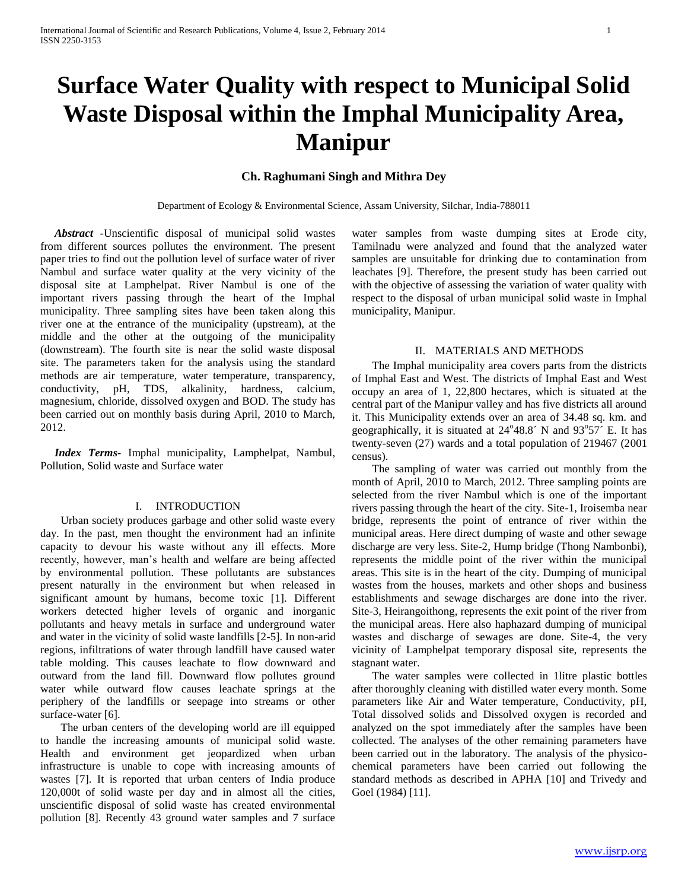# **Surface Water Quality with respect to Municipal Solid Waste Disposal within the Imphal Municipality Area, Manipur**

# **Ch. Raghumani Singh and Mithra Dey**

Department of Ecology & Environmental Science, Assam University, Silchar, India-788011

 *Abstract -*Unscientific disposal of municipal solid wastes from different sources pollutes the environment. The present paper tries to find out the pollution level of surface water of river Nambul and surface water quality at the very vicinity of the disposal site at Lamphelpat. River Nambul is one of the important rivers passing through the heart of the Imphal municipality. Three sampling sites have been taken along this river one at the entrance of the municipality (upstream), at the middle and the other at the outgoing of the municipality (downstream). The fourth site is near the solid waste disposal site. The parameters taken for the analysis using the standard methods are air temperature, water temperature, transparency, conductivity, pH, TDS, alkalinity, hardness, calcium, magnesium, chloride, dissolved oxygen and BOD. The study has been carried out on monthly basis during April, 2010 to March, 2012.

 *Index Terms-* Imphal municipality, Lamphelpat, Nambul, Pollution, Solid waste and Surface water

### I. INTRODUCTION

Urban society produces garbage and other solid waste every day. In the past, men thought the environment had an infinite capacity to devour his waste without any ill effects. More recently, however, man's health and welfare are being affected by environmental pollution. These pollutants are substances present naturally in the environment but when released in significant amount by humans, become toxic [1]. Different workers detected higher levels of organic and inorganic pollutants and heavy metals in surface and underground water and water in the vicinity of solid waste landfills [2-5]. In non-arid regions, infiltrations of water through landfill have caused water table molding. This causes leachate to flow downward and outward from the land fill. Downward flow pollutes ground water while outward flow causes leachate springs at the periphery of the landfills or seepage into streams or other surface-water [6].

The urban centers of the developing world are ill equipped to handle the increasing amounts of municipal solid waste. Health and environment get jeopardized when urban infrastructure is unable to cope with increasing amounts of wastes [7]. It is reported that urban centers of India produce 120,000t of solid waste per day and in almost all the cities, unscientific disposal of solid waste has created environmental pollution [8]. Recently 43 ground water samples and 7 surface

water samples from waste dumping sites at Erode city, Tamilnadu were analyzed and found that the analyzed water samples are unsuitable for drinking due to contamination from leachates [9]. Therefore, the present study has been carried out with the objective of assessing the variation of water quality with respect to the disposal of urban municipal solid waste in Imphal municipality, Manipur.

## II. MATERIALS AND METHODS

The Imphal municipality area covers parts from the districts of Imphal East and West. The districts of Imphal East and West occupy an area of 1, 22,800 hectares, which is situated at the central part of the Manipur valley and has five districts all around it. This Municipality extends over an area of 34.48 sq. km. and geographically, it is situated at  $24^{\circ}48.8'$  N and  $93^{\circ}57'$  E. It has twenty-seven (27) wards and a total population of 219467 (2001 census).

The sampling of water was carried out monthly from the month of April, 2010 to March, 2012. Three sampling points are selected from the river Nambul which is one of the important rivers passing through the heart of the city. Site-1, Iroisemba near bridge, represents the point of entrance of river within the municipal areas. Here direct dumping of waste and other sewage discharge are very less. Site-2, Hump bridge (Thong Nambonbi), represents the middle point of the river within the municipal areas. This site is in the heart of the city. Dumping of municipal wastes from the houses, markets and other shops and business establishments and sewage discharges are done into the river. Site-3, Heirangoithong, represents the exit point of the river from the municipal areas. Here also haphazard dumping of municipal wastes and discharge of sewages are done. Site-4, the very vicinity of Lamphelpat temporary disposal site, represents the stagnant water.

The water samples were collected in 1litre plastic bottles after thoroughly cleaning with distilled water every month. Some parameters like Air and Water temperature, Conductivity, pH, Total dissolved solids and Dissolved oxygen is recorded and analyzed on the spot immediately after the samples have been collected. The analyses of the other remaining parameters have been carried out in the laboratory. The analysis of the physicochemical parameters have been carried out following the standard methods as described in APHA [10] and Trivedy and Goel (1984) [11].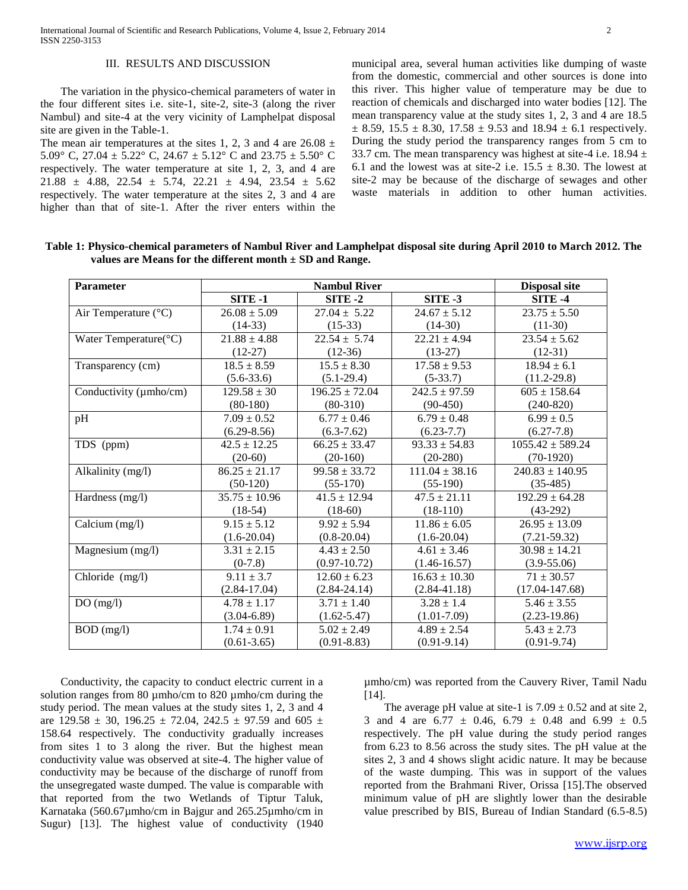## III. RESULTS AND DISCUSSION

The variation in the physico-chemical parameters of water in the four different sites i.e. site-1, site-2, site-3 (along the river Nambul) and site-4 at the very vicinity of Lamphelpat disposal site are given in the Table-1.

The mean air temperatures at the sites 1, 2, 3 and 4 are  $26.08 \pm$ 5.09° C, 27.04  $\pm$  5.22° C, 24.67  $\pm$  5.12° C and 23.75  $\pm$  5.50° C respectively. The water temperature at site 1, 2, 3, and 4 are 21.88  $\pm$  4.88, 22.54  $\pm$  5.74, 22.21  $\pm$  4.94, 23.54  $\pm$  5.62 respectively. The water temperature at the sites 2, 3 and 4 are higher than that of site-1. After the river enters within the

municipal area, several human activities like dumping of waste from the domestic, commercial and other sources is done into this river. This higher value of temperature may be due to reaction of chemicals and discharged into water bodies [12]. The mean transparency value at the study sites 1, 2, 3 and 4 are 18.5  $\pm$  8.59, 15.5  $\pm$  8.30, 17.58  $\pm$  9.53 and 18.94  $\pm$  6.1 respectively. During the study period the transparency ranges from 5 cm to 33.7 cm. The mean transparency was highest at site-4 i.e.  $18.94 \pm$ 6.1 and the lowest was at site-2 i.e.  $15.5 \pm 8.30$ . The lowest at site-2 may be because of the discharge of sewages and other waste materials in addition to other human activities.

| <b>Parameter</b>              | <b>Nambul River</b> |                    |                    | <b>Disposal site</b> |
|-------------------------------|---------------------|--------------------|--------------------|----------------------|
|                               | <b>SITE -1</b>      | SITE-2             | <b>SITE -3</b>     | SITE-4               |
| Air Temperature $(^{\circ}C)$ | $26.08 \pm 5.09$    | $27.04 \pm 5.22$   | $24.67 \pm 5.12$   | $23.75 \pm 5.50$     |
|                               | $(14-33)$           | $(15-33)$          | $(14-30)$          | $(11-30)$            |
| Water Temperature(°C)         | $21.88 \pm 4.88$    | $22.54 \pm 5.74$   | $22.21 \pm 4.94$   | $23.54 \pm 5.62$     |
|                               | $(12-27)$           | $(12-36)$          | $(13-27)$          | $(12-31)$            |
| Transparency (cm)             | $18.5 \pm 8.59$     | $15.5 \pm 8.30$    | $17.58 \pm 9.53$   | $18.94 \pm 6.1$      |
|                               | $(5.6 - 33.6)$      | $(5.1-29.4)$       | $(5-33.7)$         | $(11.2 - 29.8)$      |
| Conductivity (µmho/cm)        | $129.58 \pm 30$     | $196.25 \pm 72.04$ | $242.5 \pm 97.59$  | $605 \pm 158.64$     |
|                               | $(80-180)$          | $(80-310)$         | $(90-450)$         | $(240-820)$          |
| pH                            | $7.09 \pm 0.52$     | $6.77 \pm 0.46$    | $6.79 \pm 0.48$    | $6.99 \pm 0.5$       |
|                               | $(6.29 - 8.56)$     | $(6.3 - 7.62)$     | $(6.23 - 7.7)$     | $(6.27 - 7.8)$       |
| TDS (ppm)                     | $42.5 \pm 12.25$    | $66.25 \pm 33.47$  | $93.33 \pm 54.83$  | $1055.42 \pm 589.24$ |
|                               | $(20-60)$           | $(20-160)$         | $(20-280)$         | $(70-1920)$          |
| Alkalinity (mg/l)             | $86.25 \pm 21.17$   | $99.58 \pm 33.72$  | $111.04 \pm 38.16$ | $240.83 \pm 140.95$  |
|                               | $(50-120)$          | $(55-170)$         | $(55-190)$         | $(35-485)$           |
| Hardness (mg/l)               | $35.75 \pm 10.96$   | $41.5 \pm 12.94$   | $47.5 \pm 21.11$   | $192.29 \pm 64.28$   |
|                               | $(18-54)$           | $(18-60)$          | $(18-110)$         | $(43-292)$           |
| Calcium (mg/l)                | $9.15 \pm 5.12$     | $9.92 \pm 5.94$    | $11.86 \pm 6.05$   | $26.95 \pm 13.09$    |
|                               | $(1.6 - 20.04)$     | $(0.8 - 20.04)$    | $(1.6 - 20.04)$    | $(7.21 - 59.32)$     |
| Magnesium (mg/l)              | $3.31 \pm 2.15$     | $4.43 \pm 2.50$    | $4.61 \pm 3.46$    | $30.98 \pm 14.21$    |
|                               | $(0-7.8)$           | $(0.97 - 10.72)$   | $(1.46 - 16.57)$   | $(3.9 - 55.06)$      |
| Chloride $(mg/l)$             | $9.11 \pm 3.7$      | $12.60 \pm 6.23$   | $16.63 \pm 10.30$  | $71 \pm 30.57$       |
|                               | $(2.84 - 17.04)$    | $(2.84 - 24.14)$   | $(2.84 - 41.18)$   | $(17.04 - 147.68)$   |
| DO(mg/l)                      | $4.78 \pm 1.17$     | $3.71 \pm 1.40$    | $3.28 \pm 1.4$     | $5.46 \pm 3.55$      |
|                               | $(3.04 - 6.89)$     | $(1.62 - 5.47)$    | $(1.01 - 7.09)$    | $(2.23-19.86)$       |
| $BOD$ (mg/l)                  | $1.74 \pm 0.91$     | $5.02 \pm 2.49$    | $4.89 \pm 2.54$    | $5.43 \pm 2.73$      |
|                               | $(0.61 - 3.65)$     | $(0.91 - 8.83)$    | $(0.91 - 9.14)$    | $(0.91 - 9.74)$      |

**Table 1: Physico-chemical parameters of Nambul River and Lamphelpat disposal site during April 2010 to March 2012. The values are Means for the different month ± SD and Range.**

Conductivity, the capacity to conduct electric current in a solution ranges from 80 µmho/cm to 820 µmho/cm during the study period. The mean values at the study sites 1, 2, 3 and 4 are  $129.58 \pm 30$ ,  $196.25 \pm 72.04$ ,  $242.5 \pm 97.59$  and  $605 \pm 72.04$ 158.64 respectively. The conductivity gradually increases from sites 1 to 3 along the river. But the highest mean conductivity value was observed at site-4. The higher value of conductivity may be because of the discharge of runoff from the unsegregated waste dumped. The value is comparable with that reported from the two Wetlands of Tiptur Taluk, Karnataka (560.67µmho/cm in Bajgur and 265.25µmho/cm in Sugur) [13]. The highest value of conductivity (1940) µmho/cm) was reported from the Cauvery River, Tamil Nadu [14].

The average pH value at site-1 is  $7.09 \pm 0.52$  and at site 2, 3 and 4 are  $6.77 \pm 0.46$ ,  $6.79 \pm 0.48$  and  $6.99 \pm 0.5$ respectively. The pH value during the study period ranges from 6.23 to 8.56 across the study sites. The pH value at the sites 2, 3 and 4 shows slight acidic nature. It may be because of the waste dumping. This was in support of the values reported from the Brahmani River, Orissa [15].The observed minimum value of pH are slightly lower than the desirable value prescribed by BIS, Bureau of Indian Standard (6.5-8.5)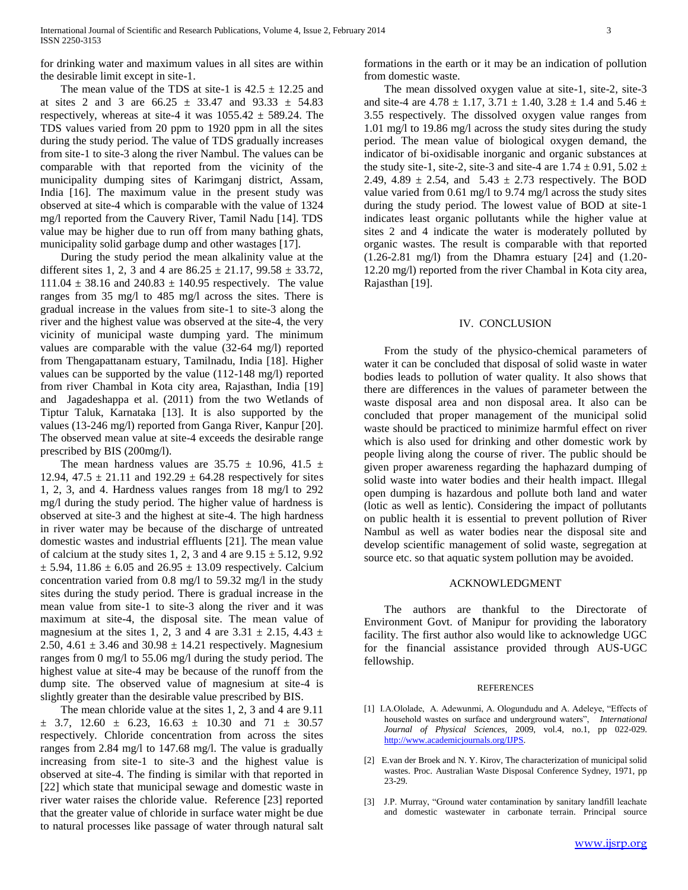for drinking water and maximum values in all sites are within the desirable limit except in site-1.

The mean value of the TDS at site-1 is  $42.5 \pm 12.25$  and at sites 2 and 3 are  $66.25 \pm 33.47$  and  $93.33 \pm 54.83$ respectively, whereas at site-4 it was  $1055.42 \pm 589.24$ . The TDS values varied from 20 ppm to 1920 ppm in all the sites during the study period. The value of TDS gradually increases from site-1 to site-3 along the river Nambul. The values can be comparable with that reported from the vicinity of the municipality dumping sites of Karimganj district, Assam, India [16]. The maximum value in the present study was observed at site-4 which is comparable with the value of 1324 mg/l reported from the Cauvery River, Tamil Nadu [14]. TDS value may be higher due to run off from many bathing ghats, municipality solid garbage dump and other wastages [17].

During the study period the mean alkalinity value at the different sites 1, 2, 3 and 4 are  $86.25 \pm 21.17$ ,  $99.58 \pm 33.72$ ,  $111.04 \pm 38.16$  and  $240.83 \pm 140.95$  respectively. The value ranges from 35 mg/l to 485 mg/l across the sites. There is gradual increase in the values from site-1 to site-3 along the river and the highest value was observed at the site-4, the very vicinity of municipal waste dumping yard. The minimum values are comparable with the value (32-64 mg/l) reported from Thengapattanam estuary, Tamilnadu, India [18]. Higher values can be supported by the value (112-148 mg/l) reported from river Chambal in Kota city area, Rajasthan, India [19] and Jagadeshappa et al. (2011) from the two Wetlands of Tiptur Taluk, Karnataka [13]. It is also supported by the values (13-246 mg/l) reported from Ganga River, Kanpur [20]. The observed mean value at site-4 exceeds the desirable range prescribed by BIS (200mg/l).

The mean hardness values are  $35.75 \pm 10.96$ ,  $41.5 \pm 10.96$ 12.94, 47.5  $\pm$  21.11 and 192.29  $\pm$  64.28 respectively for sites 1, 2, 3, and 4. Hardness values ranges from 18 mg/l to 292 mg/l during the study period. The higher value of hardness is observed at site-3 and the highest at site-4. The high hardness in river water may be because of the discharge of untreated domestic wastes and industrial effluents [21]. The mean value of calcium at the study sites 1, 2, 3 and 4 are  $9.15 \pm 5.12$ , 9.92  $\pm$  5.94, 11.86  $\pm$  6.05 and 26.95  $\pm$  13.09 respectively. Calcium concentration varied from 0.8 mg/l to 59.32 mg/l in the study sites during the study period. There is gradual increase in the mean value from site-1 to site-3 along the river and it was maximum at site-4, the disposal site. The mean value of magnesium at the sites 1, 2, 3 and 4 are  $3.31 \pm 2.15$ ,  $4.43 \pm 1.5$ 2.50, 4.61  $\pm$  3.46 and 30.98  $\pm$  14.21 respectively. Magnesium ranges from 0 mg/l to 55.06 mg/l during the study period. The highest value at site-4 may be because of the runoff from the dump site. The observed value of magnesium at site-4 is slightly greater than the desirable value prescribed by BIS.

The mean chloride value at the sites 1, 2, 3 and 4 are 9.11  $\pm$  3.7, 12.60  $\pm$  6.23, 16.63  $\pm$  10.30 and 71  $\pm$  30.57 respectively. Chloride concentration from across the sites ranges from 2.84 mg/l to 147.68 mg/l. The value is gradually increasing from site-1 to site-3 and the highest value is observed at site-4. The finding is similar with that reported in [22] which state that municipal sewage and domestic waste in river water raises the chloride value. Reference [23] reported that the greater value of chloride in surface water might be due to natural processes like passage of water through natural salt formations in the earth or it may be an indication of pollution from domestic waste.

The mean dissolved oxygen value at site-1, site-2, site-3 and site-4 are  $4.78 \pm 1.17$ ,  $3.71 \pm 1.40$ ,  $3.28 \pm 1.4$  and  $5.46 \pm 1.4$ 3.55 respectively. The dissolved oxygen value ranges from 1.01 mg/l to 19.86 mg/l across the study sites during the study period. The mean value of biological oxygen demand, the indicator of bi-oxidisable inorganic and organic substances at the study site-1, site-2, site-3 and site-4 are  $1.74 \pm 0.91$ ,  $5.02 \pm$ 2.49, 4.89  $\pm$  2.54, and 5.43  $\pm$  2.73 respectively. The BOD value varied from 0.61 mg/l to 9.74 mg/l across the study sites during the study period. The lowest value of BOD at site-1 indicates least organic pollutants while the higher value at sites 2 and 4 indicate the water is moderately polluted by organic wastes. The result is comparable with that reported (1.26-2.81 mg/l) from the Dhamra estuary [24] and (1.20- 12.20 mg/l) reported from the river Chambal in Kota city area, Rajasthan [19].

#### IV. CONCLUSION

From the study of the physico-chemical parameters of water it can be concluded that disposal of solid waste in water bodies leads to pollution of water quality. It also shows that there are differences in the values of parameter between the waste disposal area and non disposal area. It also can be concluded that proper management of the municipal solid waste should be practiced to minimize harmful effect on river which is also used for drinking and other domestic work by people living along the course of river. The public should be given proper awareness regarding the haphazard dumping of solid waste into water bodies and their health impact. Illegal open dumping is hazardous and pollute both land and water (lotic as well as lentic). Considering the impact of pollutants on public health it is essential to prevent pollution of River Nambul as well as water bodies near the disposal site and develop scientific management of solid waste, segregation at source etc. so that aquatic system pollution may be avoided.

#### ACKNOWLEDGMENT

The authors are thankful to the Directorate of Environment Govt. of Manipur for providing the laboratory facility. The first author also would like to acknowledge UGC for the financial assistance provided through AUS-UGC fellowship.

#### REFERENCES

- [1] I.A.Ololade, A. Adewunmi, A. Ologundudu and A. Adeleye, "Effects of household wastes on surface and underground waters", *International Journal of Physical Sciences,* 2009, vol.4, no.1, pp 022-029. [http://www.academicjournals.org/IJPS.](http://www.academicjournals.org/IJPS)
- [2] E.van der Broek and N. Y. Kirov, The characterization of municipal solid wastes. Proc. Australian Waste Disposal Conference Sydney, 1971, pp 23-29.
- [3] J.P. Murray, "Ground water contamination by sanitary landfill leachate and domestic wastewater in carbonate terrain. Principal source